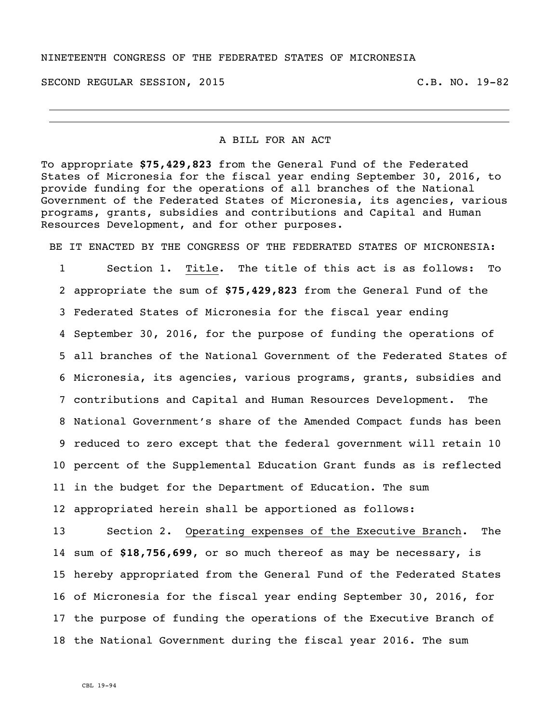#### NINETEENTH CONGRESS OF THE FEDERATED STATES OF MICRONESIA

SECOND REGULAR SESSION, 2015 C.B. NO. 19-82

## A BILL FOR AN ACT

To appropriate **\$75,429,823** from the General Fund of the Federated States of Micronesia for the fiscal year ending September 30, 2016, to provide funding for the operations of all branches of the National Government of the Federated States of Micronesia, its agencies, various programs, grants, subsidies and contributions and Capital and Human Resources Development, and for other purposes.

BE IT ENACTED BY THE CONGRESS OF THE FEDERATED STATES OF MICRONESIA:

 Section 1. Title. The title of this act is as follows: To appropriate the sum of **\$75,429,823** from the General Fund of the Federated States of Micronesia for the fiscal year ending September 30, 2016, for the purpose of funding the operations of all branches of the National Government of the Federated States of Micronesia, its agencies, various programs, grants, subsidies and 7 contributions and Capital and Human Resources Development. National Government's share of the Amended Compact funds has been reduced to zero except that the federal government will retain 10 percent of the Supplemental Education Grant funds as is reflected in the budget for the Department of Education. The sum appropriated herein shall be apportioned as follows:

 Section 2. Operating expenses of the Executive Branch. The sum of **\$18,756,699**, or so much thereof as may be necessary, is hereby appropriated from the General Fund of the Federated States of Micronesia for the fiscal year ending September 30, 2016, for the purpose of funding the operations of the Executive Branch of the National Government during the fiscal year 2016. The sum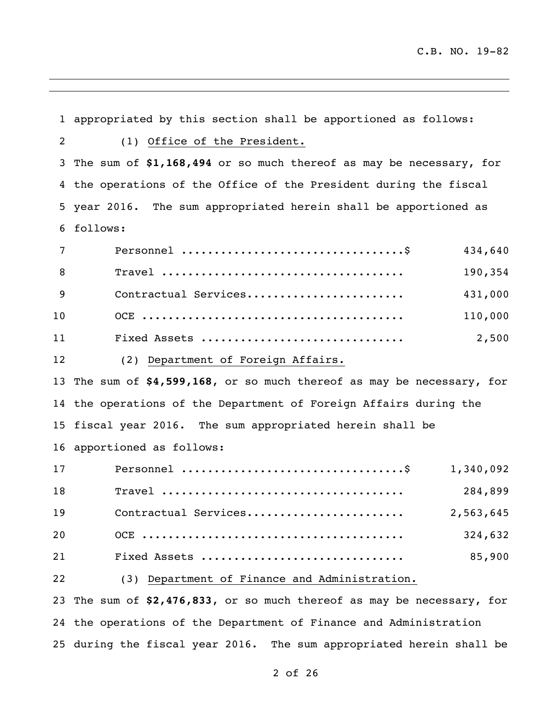appropriated by this section shall be apportioned as follows: (1) Office of the President. The sum of **\$1,168,494** or so much thereof as may be necessary, for the operations of the Office of the President during the fiscal year 2016. The sum appropriated herein shall be apportioned as follows: Personnel ..................................\$ 434,640 Travel ..................................... 190,354 Contractual Services........................ 431,000 OCE ........................................ 110,000 Fixed Assets ............................... 2,500 (2) Department of Foreign Affairs. The sum of **\$4,599,168**, or so much thereof as may be necessary, for the operations of the Department of Foreign Affairs during the fiscal year 2016. The sum appropriated herein shall be apportioned as follows: Personnel ..................................\$ 1,340,092 Travel ..................................... 284,899 Contractual Services........................ 2,563,645 OCE ........................................ 324,632 Fixed Assets ............................... 85,900 (3) Department of Finance and Administration. The sum of **\$2,476,833**, or so much thereof as may be necessary, for the operations of the Department of Finance and Administration

during the fiscal year 2016. The sum appropriated herein shall be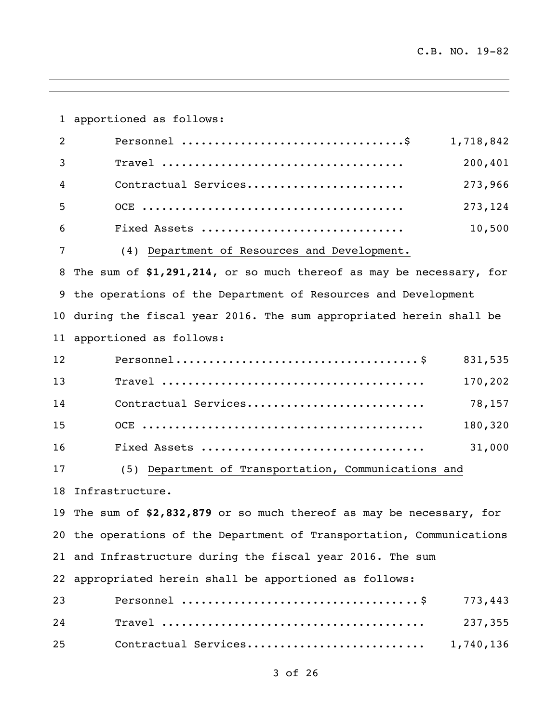apportioned as follows: Personnel ..................................\$ 1,718,842 Travel ..................................... 200,401 Contractual Services........................ 273,966 OCE ........................................ 273,124 Fixed Assets ............................... 10,500 (4) Department of Resources and Development. The sum of **\$1,291,214**, or so much thereof as may be necessary, for the operations of the Department of Resources and Development during the fiscal year 2016. The sum appropriated herein shall be apportioned as follows: Personnel..................................... \$ 831,535 Travel ........................................ 170,202 Contractual Services........................... 78,157 OCE ........................................... 180,320 Fixed Assets .................................. 31,000 (5) Department of Transportation, Communications and Infrastructure. The sum of **\$2,832,879** or so much thereof as may be necessary, for the operations of the Department of Transportation, Communications and Infrastructure during the fiscal year 2016. The sum appropriated herein shall be apportioned as follows: Personnel .................................... \$ 773,443 Travel ........................................ 237,355 Contractual Services........................... 1,740,136

# of 26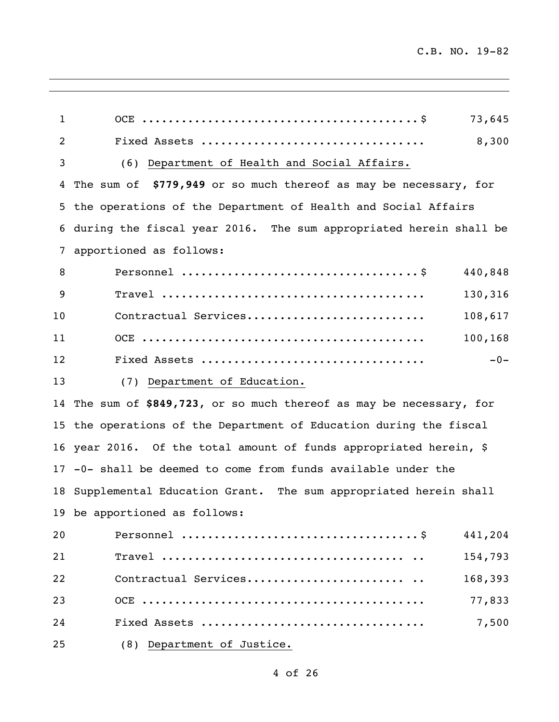$\overline{\phantom{a}}$ 

| $\mathbf{1}$ | 73,645                                                               |
|--------------|----------------------------------------------------------------------|
| 2            | 8,300                                                                |
| 3            | (6) Department of Health and Social Affairs.                         |
|              | 4 The sum of \$779,949 or so much thereof as may be necessary, for   |
|              | 5 the operations of the Department of Health and Social Affairs      |
|              | 6 during the fiscal year 2016. The sum appropriated herein shall be  |
| 7            | apportioned as follows:                                              |
| 8            | 440,848                                                              |
| 9            | 130,316                                                              |
| 10           | Contractual Services<br>108,617                                      |
| 11           | 100,168                                                              |
| 12           | $-0-$                                                                |
| 13           | (7) Department of Education.                                         |
|              | 14 The sum of \$849,723, or so much thereof as may be necessary, for |
|              | 15 the operations of the Department of Education during the fiscal   |
|              | 16 year 2016. Of the total amount of funds appropriated herein, \$   |
|              | 17 -0- shall be deemed to come from funds available under the        |
|              | 18 Supplemental Education Grant. The sum appropriated herein shall   |
|              | 19 be apportioned as follows:                                        |
| 20           | 441,204                                                              |
| 21           | 154,793                                                              |
| 22           | Contractual Services<br>168,393                                      |
| 23           | 77,833                                                               |
| 24           | 7,500                                                                |
| 25           | (8) Department of Justice.                                           |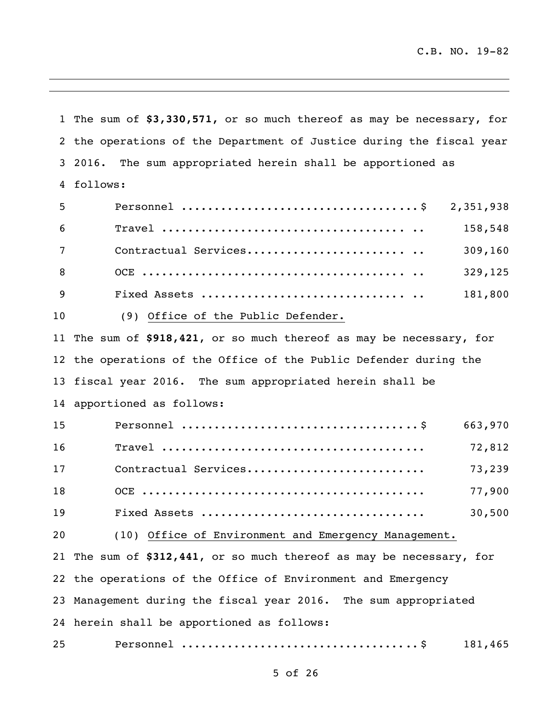The sum of **\$3,330,571,** or so much thereof as may be necessary, for the operations of the Department of Justice during the fiscal year 2016. The sum appropriated herein shall be apportioned as follows: Personnel .................................... \$ 2,351,938 Travel ..................................... .. 158,548 7 Contractual Services.............................. 309,160 OCE ........................................ .. 329,125 Fixed Assets ............................... .. 181,800 (9) Office of the Public Defender. The sum of **\$918,421**, or so much thereof as may be necessary, for the operations of the Office of the Public Defender during the fiscal year 2016. The sum appropriated herein shall be apportioned as follows: Personnel .................................... \$ 663,970 Travel ........................................ 72,812 Contractual Services........................... 73,239 OCE ........................................... 77,900 Fixed Assets .................................. 30,500 (10) Office of Environment and Emergency Management. The sum of **\$312,441**, or so much thereof as may be necessary, for the operations of the Office of Environment and Emergency Management during the fiscal year 2016. The sum appropriated herein shall be apportioned as follows: Personnel .................................... \$ 181,465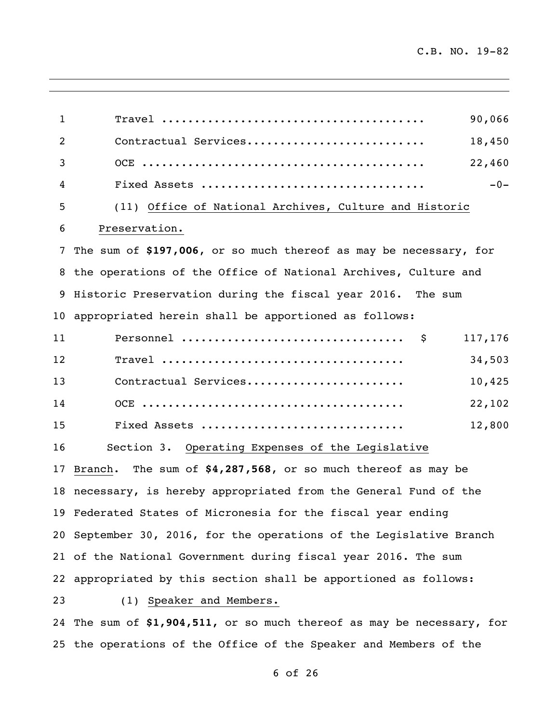$\overline{\phantom{a}}$ 

| 1  | 90,066                                                                 |
|----|------------------------------------------------------------------------|
| 2  | Contractual Services<br>18,450                                         |
| 3  | 22,460                                                                 |
| 4  | $-0-$                                                                  |
| 5  | (11) Office of National Archives, Culture and Historic                 |
| 6  | Preservation.                                                          |
| 7  | The sum of \$197,006, or so much thereof as may be necessary, for      |
| 8  | the operations of the Office of National Archives, Culture and         |
| 9  | Historic Preservation during the fiscal year 2016. The sum             |
| 10 | appropriated herein shall be apportioned as follows:                   |
| 11 | 117,176<br>- \$                                                        |
| 12 | 34,503                                                                 |
| 13 | Contractual Services<br>10,425                                         |
| 14 | 22,102                                                                 |
| 15 | 12,800<br>Fixed Assets                                                 |
| 16 | Section 3. Operating Expenses of the Legislative                       |
| 17 | Branch. The sum of \$4,287,568, or so much thereof as may be           |
|    | 18 necessary, is hereby appropriated from the General Fund of the      |
|    | 19 Federated States of Micronesia for the fiscal year ending           |
|    | 20 September 30, 2016, for the operations of the Legislative Branch    |
|    | 21 of the National Government during fiscal year 2016. The sum         |
|    | 22 appropriated by this section shall be apportioned as follows:       |
| 23 | (1) Speaker and Members.                                               |
|    | 24 The sum of \$1,904,511, or so much thereof as may be necessary, for |
|    | 25 the operations of the Office of the Speaker and Members of the      |

<u> 1989 - Johann Stoff, deutscher Stoffen und der Stoffen und der Stoffen und der Stoffen und der Stoffen und der</u>

of 26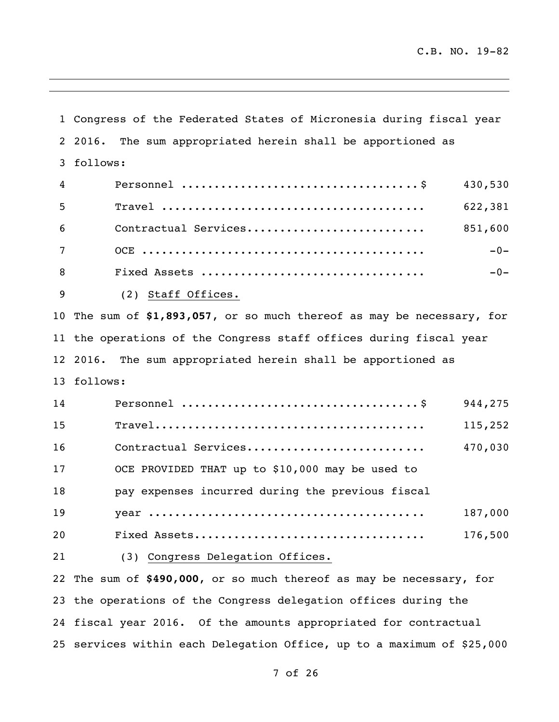Congress of the Federated States of Micronesia during fiscal year 2016. The sum appropriated herein shall be apportioned as follows: Personnel .................................... \$ 430,530 Travel ........................................ 622,381 Contractual Services........................... 851,600 OCE ........................................... -0- Fixed Assets .................................. -0- (2) Staff Offices. The sum of **\$1,893,057**, or so much thereof as may be necessary, for the operations of the Congress staff offices during fiscal year 2016. The sum appropriated herein shall be apportioned as follows: Personnel .................................... \$ 944,275 Travel......................................... 115,252 Contractual Services........................... 470,030 OCE PROVIDED THAT up to \$10,000 may be used to pay expenses incurred during the previous fiscal year .......................................... 187,000 Fixed Assets................................... 176,500 (3) Congress Delegation Offices. The sum of **\$490,000**, or so much thereof as may be necessary, for the operations of the Congress delegation offices during the fiscal year 2016. Of the amounts appropriated for contractual

services within each Delegation Office, up to a maximum of \$25,000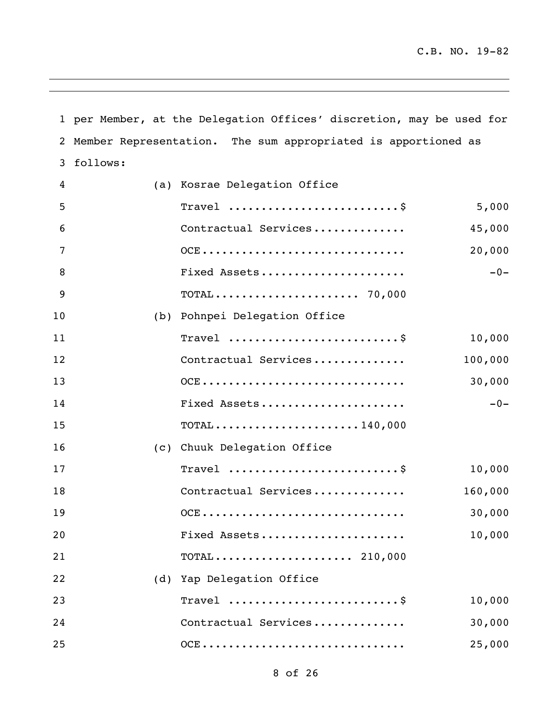per Member, at the Delegation Offices' discretion, may be used for Member Representation. The sum appropriated is apportioned as follows:

| 4  | (a) Kosrae Delegation Office                                             |         |
|----|--------------------------------------------------------------------------|---------|
| 5  | Travel                                                                   | 5,000   |
| 6  | Contractual Services                                                     | 45,000  |
| 7  | OCE                                                                      | 20,000  |
| 8  | Fixed Assets                                                             | $-0-$   |
| 9  | $\texttt{TOTAL} \dots \dots \dots \dots \dots \dots \dots \ 70,000$      |         |
| 10 | (b) Pohnpei Delegation Office                                            |         |
| 11 | Travel                                                                   | 10,000  |
| 12 | Contractual Services                                                     | 100,000 |
| 13 | OCE                                                                      | 30,000  |
| 14 | Fixed Assets                                                             | $-0-$   |
| 15 | $\texttt{TOTAL} \dots \dots \dots \dots \dots \dots \dots \dots 140,000$ |         |
| 16 | (c) Chuuk Delegation Office                                              |         |
| 17 | Travel  \$                                                               | 10,000  |
| 18 | Contractual Services                                                     | 160,000 |
| 19 | OCE                                                                      | 30,000  |
| 20 | Fixed Assets                                                             | 10,000  |
| 21 | $\texttt{TOTAL} \dots \dots \dots \dots \dots \dots \dots \ 210,000$     |         |
| 22 | (d) Yap Delegation Office                                                |         |
| 23 | Travel                                                                   | 10,000  |
| 24 | Contractual Services                                                     | 30,000  |
| 25 | $OCE$                                                                    | 25,000  |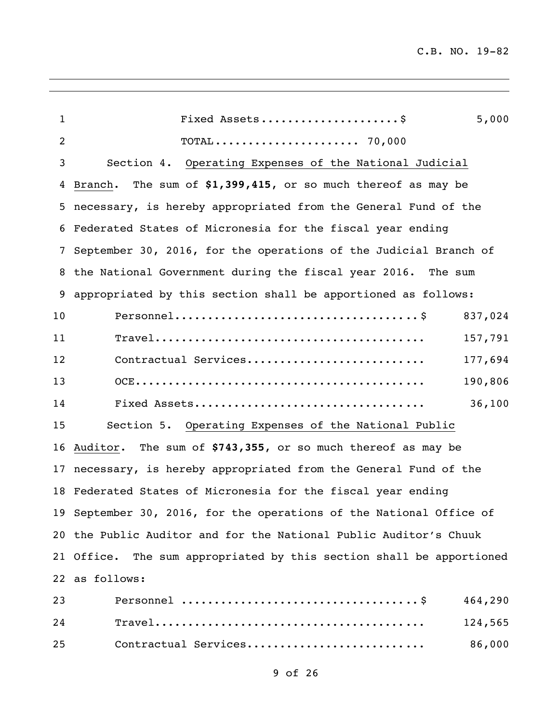| $\mathbf 1$ | Fixed Assets<br>5,000                                                                                                       |
|-------------|-----------------------------------------------------------------------------------------------------------------------------|
| 2           |                                                                                                                             |
| 3           | Section 4. Operating Expenses of the National Judicial                                                                      |
| 4           | Branch. The sum of \$1,399,415, or so much thereof as may be                                                                |
|             | 5 necessary, is hereby appropriated from the General Fund of the                                                            |
|             | 6 Federated States of Micronesia for the fiscal year ending                                                                 |
| 7           | September 30, 2016, for the operations of the Judicial Branch of                                                            |
|             | 8 the National Government during the fiscal year 2016. The sum                                                              |
| 9           | appropriated by this section shall be apportioned as follows:                                                               |
| 10          | 837,024                                                                                                                     |
| 11          | 157,791                                                                                                                     |
| 12          | Contractual Services<br>177,694                                                                                             |
| 13          | 190,806                                                                                                                     |
| 14          | 36,100                                                                                                                      |
| 15          | Section 5. Operating Expenses of the National Public                                                                        |
| 16          | Auditor. The sum of \$743,355, or so much thereof as may be                                                                 |
|             | 17 necessary, is hereby appropriated from the General Fund of the                                                           |
|             | 18 Federated States of Micronesia for the fiscal year ending                                                                |
|             | 19 September 30, 2016, for the operations of the National Office of                                                         |
|             | 20 the Public Auditor and for the National Public Auditor's Chuuk                                                           |
|             | 21 Office. The sum appropriated by this section shall be apportioned                                                        |
|             | 22 as follows:                                                                                                              |
| 23          | 464,290                                                                                                                     |
| 24          | $\texttt{True}1 \dots \dots \dots \dots \dots \dots \dots \dots \dots \dots \dots \dots \dots \dots \dots \dots$<br>124,565 |

Contractual Services........................... 86,000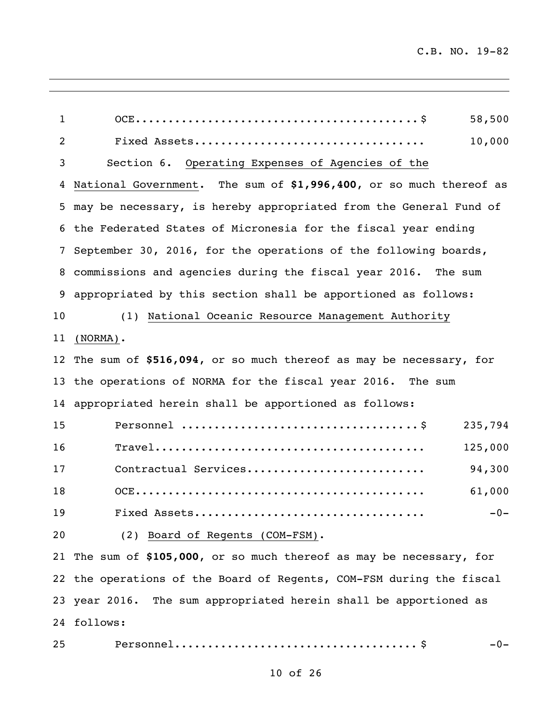| $\mathbf{1}$   | 58,500                                                                                                                |
|----------------|-----------------------------------------------------------------------------------------------------------------------|
| $\overline{c}$ | 10,000                                                                                                                |
| 3              | Section 6. Operating Expenses of Agencies of the                                                                      |
| 4              | National Government. The sum of \$1,996,400, or so much thereof as                                                    |
| 5              | may be necessary, is hereby appropriated from the General Fund of                                                     |
|                | 6 the Federated States of Micronesia for the fiscal year ending                                                       |
| 7              | September 30, 2016, for the operations of the following boards,                                                       |
|                | 8 commissions and agencies during the fiscal year 2016. The sum                                                       |
| 9              | appropriated by this section shall be apportioned as follows:                                                         |
| 10             | (1) National Oceanic Resource Management Authority                                                                    |
| 11             | $(NORMAL)$ .                                                                                                          |
|                | 12 The sum of \$516,094, or so much thereof as may be necessary, for                                                  |
|                | 13 the operations of NORMA for the fiscal year 2016. The sum                                                          |
|                | 14 appropriated herein shall be apportioned as follows:                                                               |
| 15             | 235,794                                                                                                               |
| 16             | $\texttt{True}1 \dots \dots \dots \dots \dots \dots \dots \dots \dots \dots \dots \dots \dots \dots \dots$<br>125,000 |
| 17             | 94,300<br>Contractual Services                                                                                        |
| 18             | 61,000                                                                                                                |
| 19             | $-0-$                                                                                                                 |
| 20             | (2) Board of Regents (COM-FSM).                                                                                       |
|                | 21 The sum of \$105,000, or so much thereof as may be necessary, for                                                  |
|                | 22 the operations of the Board of Regents, COM-FSM during the fiscal                                                  |
|                | 23 year 2016. The sum appropriated herein shall be apportioned as                                                     |
|                | 24 follows:                                                                                                           |
| 25             | -0-                                                                                                                   |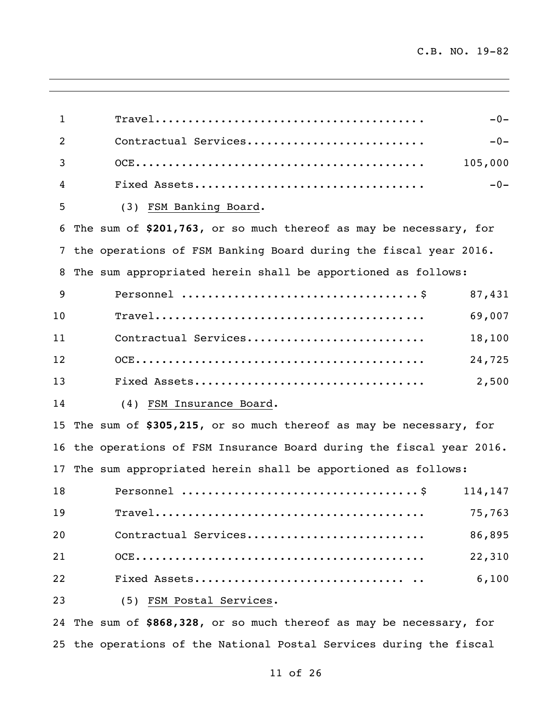| $\mathbf{1}$   |                                                                    | $-0-$ |
|----------------|--------------------------------------------------------------------|-------|
| $\overline{2}$ | Contractual Services                                               | $-0-$ |
| 3              | 105,000                                                            |       |
| 4              |                                                                    | $-0-$ |
| 5              | (3) FSM Banking Board.                                             |       |
| 6              | The sum of \$201,763, or so much thereof as may be necessary, for  |       |
| 7              | the operations of FSM Banking Board during the fiscal year 2016.   |       |
| 8              | The sum appropriated herein shall be apportioned as follows:       |       |
| 9              | 87,431                                                             |       |
| 10             | 69,007                                                             |       |
| 11             | Contractual Services<br>18,100                                     |       |
| 12             | 24,725                                                             |       |
| 13             | 2,500                                                              |       |
| 14             | (4) FSM Insurance Board.                                           |       |
| 15             | The sum of \$305,215, or so much thereof as may be necessary, for  |       |
| 16             | the operations of FSM Insurance Board during the fiscal year 2016. |       |
| 17             | The sum appropriated herein shall be apportioned as follows:       |       |
| 18             | 114,147                                                            |       |
| 19             | 75,763                                                             |       |
| 20             | Contractual Services<br>86,895                                     |       |
| 21             | 22,310                                                             |       |
| 22             | 6,100                                                              |       |
| 23             | (5) FSM Postal Services.                                           |       |
|                |                                                                    |       |

 The sum of **\$868,328**, or so much thereof as may be necessary, for the operations of the National Postal Services during the fiscal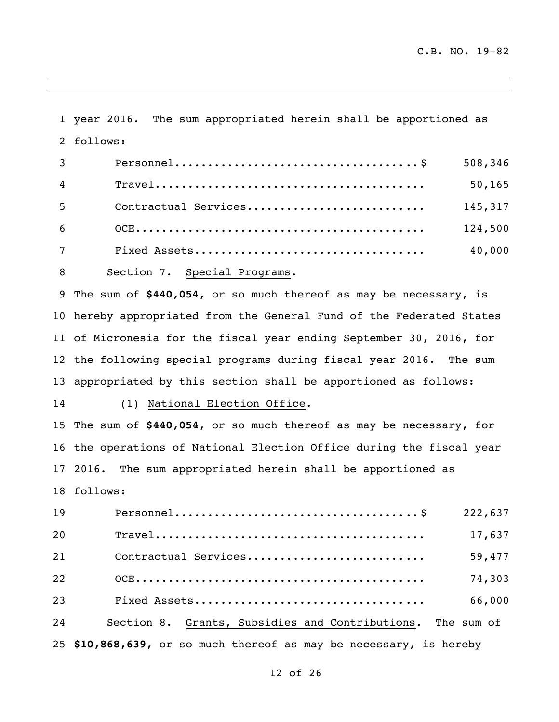year 2016. The sum appropriated herein shall be apportioned as follows: Personnel..................................... \$ 508,346 Travel......................................... 50,165 5 Contractual Services................................ 145,317 OCE............................................ 124,500 Fixed Assets................................... 40,000 8 Section 7. Special Programs. The sum of **\$440,054,** or so much thereof as may be necessary, is hereby appropriated from the General Fund of the Federated States of Micronesia for the fiscal year ending September 30, 2016, for the following special programs during fiscal year 2016. The sum appropriated by this section shall be apportioned as follows: (1) National Election Office. The sum of **\$440,054**, or so much thereof as may be necessary, for the operations of National Election Office during the fiscal year 2016. The sum appropriated herein shall be apportioned as follows: Personnel..................................... \$ 222,637 Travel......................................... 17,637

 Contractual Services........................... 59,477 OCE............................................ 74,303 Fixed Assets................................... 66,000 Section 8. Grants, Subsidies and Contributions. The sum of **\$10,868,639,** or so much thereof as may be necessary, is hereby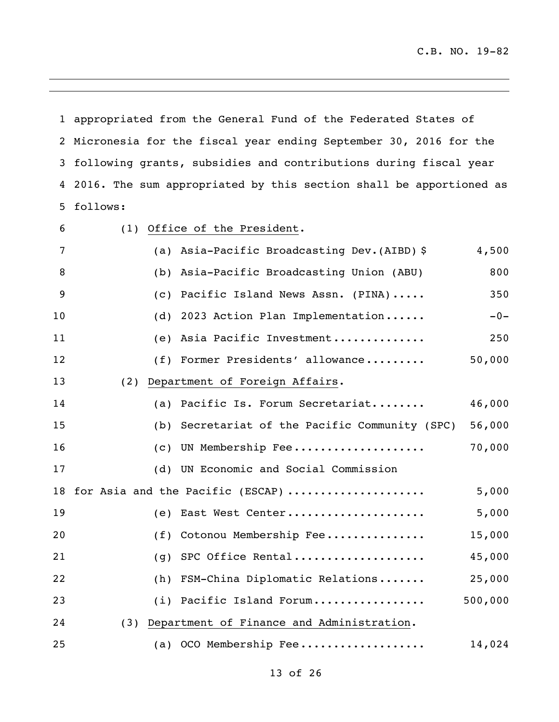appropriated from the General Fund of the Federated States of Micronesia for the fiscal year ending September 30, 2016 for the following grants, subsidies and contributions during fiscal year 2016. The sum appropriated by this section shall be apportioned as follows: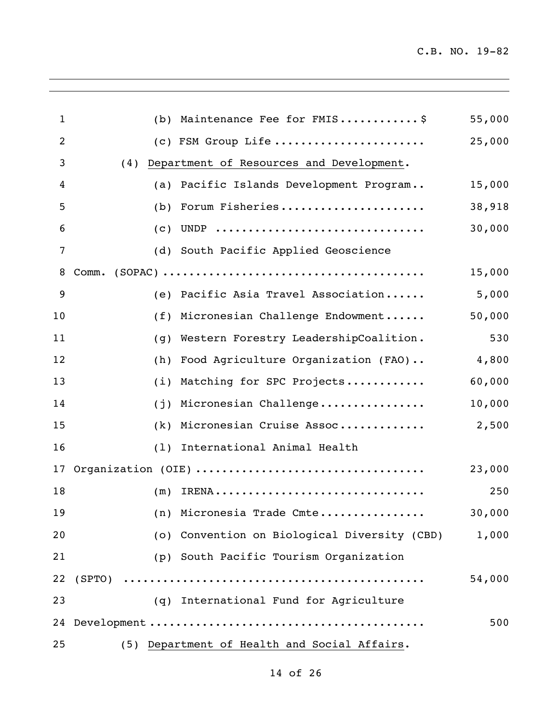$\overline{\phantom{a}}$ 

| $\mathbf{1}$ |        | (b) Maintenance Fee for FMIS\$               | 55,000 |
|--------------|--------|----------------------------------------------|--------|
| 2            |        | (c) FSM Group Life                           | 25,000 |
| 3            | (4)    | Department of Resources and Development.     |        |
| 4            | (a)    | Pacific Islands Development Program          | 15,000 |
| 5            | (b)    | Forum Fisheries                              | 38,918 |
| 6            | (c)    | UNDP                                         | 30,000 |
| 7            |        | (d) South Pacific Applied Geoscience         |        |
| 8            | Comm.  |                                              | 15,000 |
| 9            |        | (e) Pacific Asia Travel Association          | 5,000  |
| 10           | (f)    | Micronesian Challenge Endowment              | 50,000 |
| 11           | (q)    | Western Forestry LeadershipCoalition.        | 530    |
| 12           | (h)    | Food Agriculture Organization (FAO)          | 4,800  |
| 13           | (i)    | Matching for SPC Projects                    | 60,000 |
| 14           | (j)    | Micronesian Challenge                        | 10,000 |
| 15           | (k)    | Micronesian Cruise Assoc                     | 2,500  |
| 16           | (1)    | International Animal Health                  |        |
| 17           |        | Organization (OIE)                           | 23,000 |
| 18           | (m)    |                                              | 250    |
| 19           |        | (n) Micronesia Trade Cmte                    | 30,000 |
| 20           |        | (o) Convention on Biological Diversity (CBD) | 1,000  |
| 21           |        | (p) South Pacific Tourism Organization       |        |
| 22           | (SPTO) |                                              | 54,000 |
| 23           |        | (q) International Fund for Agriculture       |        |
|              |        |                                              | 500    |
| 25           |        | (5) Department of Health and Social Affairs. |        |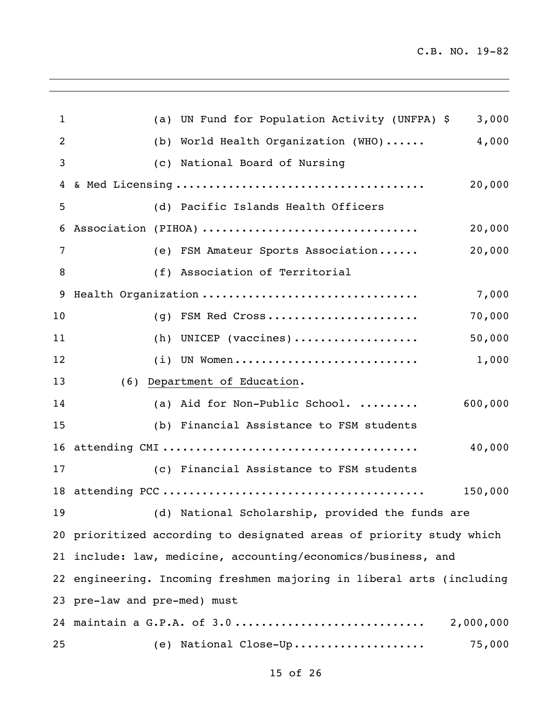$\overline{\phantom{a}}$ 

| $\mathbf{1}$   | UN Fund for Population Activity (UNFPA) \$<br>3,000<br>(a)            |
|----------------|-----------------------------------------------------------------------|
| $\overline{2}$ | World Health Organization (WHO)<br>4,000<br>(b)                       |
| 3              | (c) National Board of Nursing                                         |
| 4              | 20,000                                                                |
| 5              | (d) Pacific Islands Health Officers                                   |
| 6              | Association (PIHOA)<br>20,000                                         |
| 7              | (e) FSM Amateur Sports Association<br>20,000                          |
| 8              | (f) Association of Territorial                                        |
| 9              | Health Organization<br>7,000                                          |
| 10             | FSM Red Cross<br>70,000<br>(q)                                        |
| 11             | (h) UNICEP (vaccines)<br>50,000                                       |
| 12             | UN Women<br>1,000<br>(i)                                              |
| 13             | (6) Department of Education.                                          |
| 14             | (a) Aid for Non-Public School.<br>600,000                             |
| 15             | (b) Financial Assistance to FSM students                              |
| 16             | 40,000                                                                |
| 17             | (c) Financial Assistance to FSM students                              |
|                | 150,000                                                               |
| 19             | (d) National Scholarship, provided the funds are                      |
|                | 20 prioritized according to designated areas of priority study which  |
|                | 21 include: law, medicine, accounting/economics/business, and         |
|                | 22 engineering. Incoming freshmen majoring in liberal arts (including |
|                | 23 pre-law and pre-med) must                                          |
|                | 24 maintain a G.P.A. of 3.0<br>2,000,000                              |
| 25             | (e) National Close-Up<br>75,000                                       |
|                |                                                                       |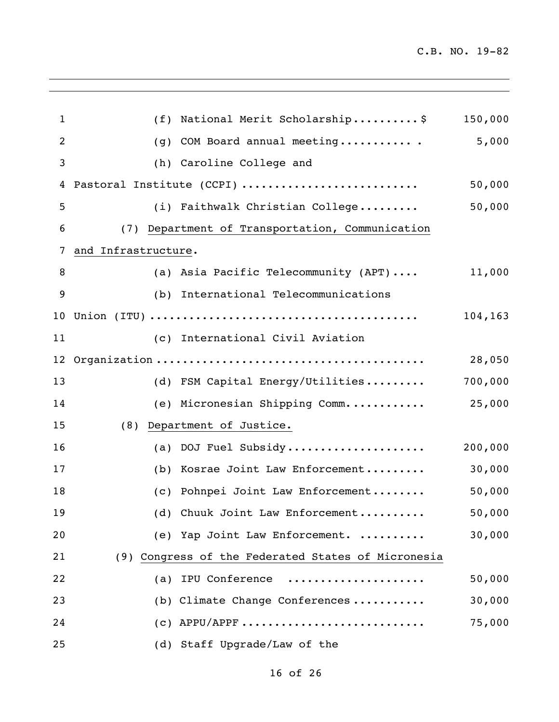$\overline{\phantom{a}}$ 

| 1  | (f)                 | National Merit Scholarship\$                       | 150,000 |
|----|---------------------|----------------------------------------------------|---------|
| 2  | (q)                 | COM Board annual meeting                           | 5,000   |
| 3  | (h)                 | Caroline College and                               |         |
| 4  |                     | Pastoral Institute (CCPI)                          | 50,000  |
| 5  |                     | (i) Faithwalk Christian College                    | 50,000  |
| 6  |                     | (7) Department of Transportation, Communication    |         |
| 7  | and Infrastructure. |                                                    |         |
| 8  |                     | (a) Asia Pacific Telecommunity (APT)               | 11,000  |
| 9  |                     | (b) International Telecommunications               |         |
| 10 |                     |                                                    | 104,163 |
| 11 |                     | (c) International Civil Aviation                   |         |
| 12 |                     |                                                    | 28,050  |
| 13 |                     | (d) FSM Capital Energy/Utilities                   | 700,000 |
| 14 |                     | (e) Micronesian Shipping Comm                      | 25,000  |
| 15 | (8)                 | Department of Justice.                             |         |
| 16 | (a)                 | DOJ Fuel Subsidy                                   | 200,000 |
| 17 | (b)                 | Kosrae Joint Law Enforcement                       | 30,000  |
| 18 | (C)                 | Pohnpei Joint Law Enforcement                      | 50,000  |
| 19 |                     | (d) Chuuk Joint Law Enforcement                    | 50,000  |
| 20 |                     | (e) Yap Joint Law Enforcement.                     | 30,000  |
| 21 |                     | (9) Congress of the Federated States of Micronesia |         |
| 22 |                     | (a) IPU Conference                                 | 50,000  |
| 23 |                     | (b) Climate Change Conferences                     | 30,000  |
| 24 |                     | $(c)$ APPU/APPF                                    | 75,000  |
| 25 |                     | (d) Staff Upgrade/Law of the                       |         |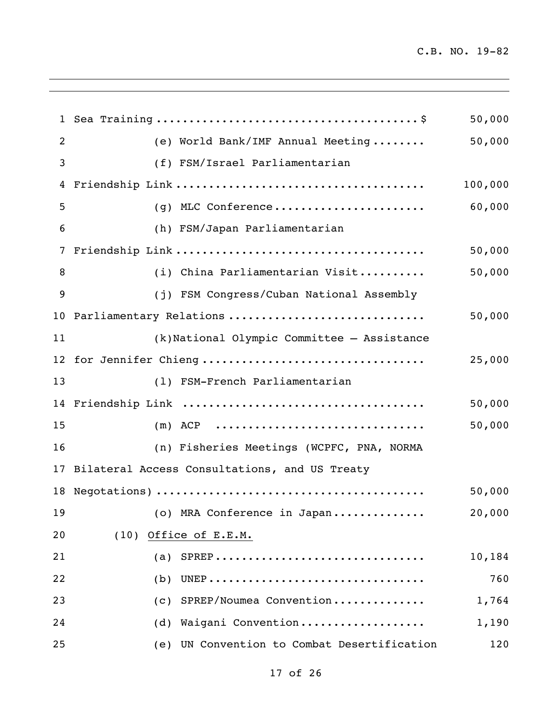$\overline{\phantom{a}}$ 

|                 |                                                  | 50,000  |
|-----------------|--------------------------------------------------|---------|
| 2               | (e) World Bank/IMF Annual Meeting                | 50,000  |
| 3               | (f) FSM/Israel Parliamentarian                   |         |
| 4               |                                                  | 100,000 |
| 5               | (g) MLC Conference                               | 60,000  |
| 6               | (h) FSM/Japan Parliamentarian                    |         |
| 7               |                                                  | 50,000  |
| 8               | (i) China Parliamentarian Visit                  | 50,000  |
| 9               | (j) FSM Congress/Cuban National Assembly         |         |
| 10 <sub>o</sub> | Parliamentary Relations                          | 50,000  |
| 11              | (k)National Olympic Committee - Assistance       |         |
|                 | 12 for Jennifer Chieng                           | 25,000  |
| 13              | (1) FSM-French Parliamentarian                   |         |
|                 |                                                  | 50,000  |
| 15              | $(m)$ ACP                                        | 50,000  |
| 16              | (n) Fisheries Meetings (WCPFC, PNA, NORMA        |         |
|                 | 17 Bilateral Access Consultations, and US Treaty |         |
|                 |                                                  | 50,000  |
| 19              | (o) MRA Conference in Japan                      | 20,000  |
| 20              | (10) Office of E.E.M.                            |         |
| 21              | (a) SPREP                                        | 10,184  |
| 22              | $(b)$ UNEP                                       | 760     |
| 23              | SPREP/Noumea Convention<br>(C)                   | 1,764   |
| 24              | Waigani Convention<br>(d)                        | 1,190   |
| 25              | (e) UN Convention to Combat Desertification      | 120     |

<u> 1980 - Andrea Santa Andrea Santa Andrea Santa Andrea Santa Andrea Santa Andrea Santa Andrea Santa Andrea San</u>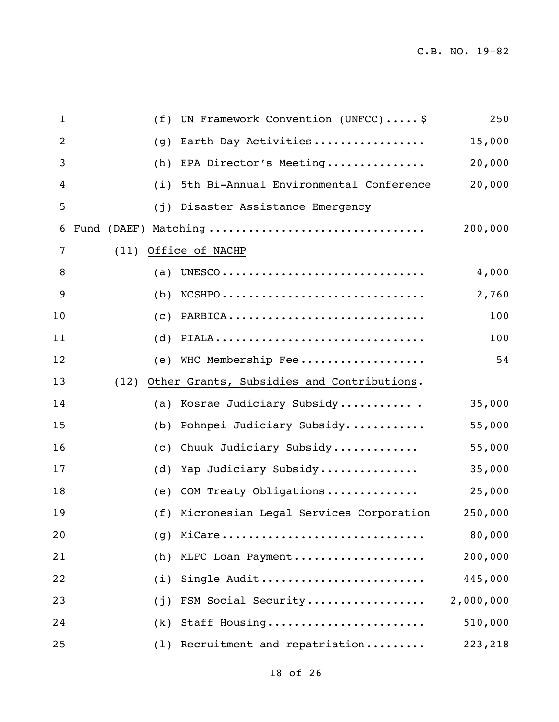$\overline{\phantom{a}}$ 

| 1  | (f)  | UN Framework Convention (UNFCC) \$                                             | 250       |
|----|------|--------------------------------------------------------------------------------|-----------|
| 2  | (g)  | Earth Day Activities                                                           | 15,000    |
| 3  | (h)  | EPA Director's Meeting                                                         | 20,000    |
| 4  | (i)  | 5th Bi-Annual Environmental Conference                                         | 20,000    |
| 5  | (i)  | Disaster Assistance Emergency                                                  |           |
| 6  |      | Fund (DAEF) Matching                                                           | 200,000   |
| 7  | (11) | Office of NACHP                                                                |           |
| 8  | (a)  |                                                                                | 4,000     |
| 9  | (b)  | $NCSHPO \ldots \ldots \ldots \ldots \ldots \ldots \ldots \ldots \ldots \ldots$ | 2,760     |
| 10 | (c)  | PARBICA                                                                        | 100       |
| 11 | (d)  | PIALA                                                                          | 100       |
| 12 | (e)  | WHC Membership Fee                                                             | 54        |
| 13 | (12) | Other Grants, Subsidies and Contributions.                                     |           |
| 14 | (a)  | Kosrae Judiciary Subsidy                                                       | 35,000    |
| 15 | (b)  | Pohnpei Judiciary Subsidy                                                      | 55,000    |
| 16 | (c)  | Chuuk Judiciary Subsidy                                                        | 55,000    |
| 17 | (d)  | Yap Judiciary Subsidy                                                          | 35,000    |
| 18 | (e)  | COM Treaty Obligations                                                         | 25,000    |
| 19 |      | (f) Micronesian Legal Services Corporation                                     | 250,000   |
| 20 | (q)  | MiCare                                                                         | 80,000    |
| 21 | (h)  | MLFC Loan Payment                                                              | 200,000   |
| 22 | (i)  | Single Audit                                                                   | 445,000   |
| 23 | (j)  | FSM Social Security                                                            | 2,000,000 |
| 24 | (k)  | Staff Housing                                                                  | 510,000   |
| 25 | (1)  | Recruitment and repatriation                                                   | 223,218   |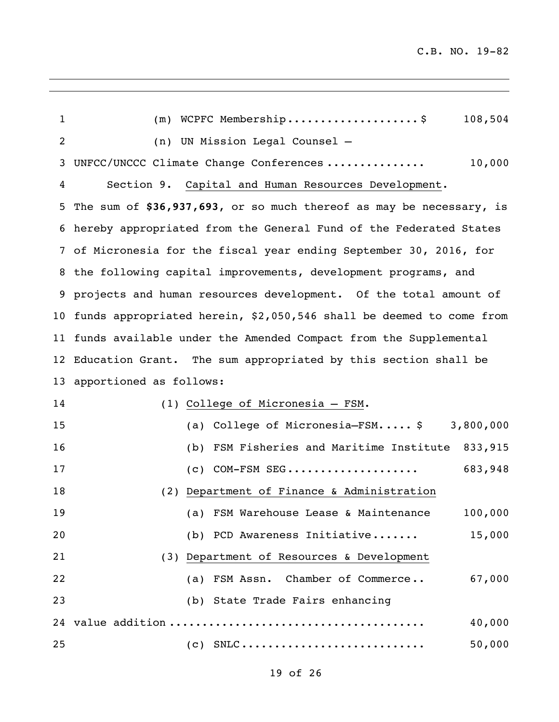$\overline{\phantom{a}}$ 

| $\mathbf{1}$ | WCPFC Membership\$<br>108,504<br>(m)                                |
|--------------|---------------------------------------------------------------------|
| 2            | (n) UN Mission Legal Counsel -                                      |
| 3            | UNFCC/UNCCC Climate Change Conferences<br>10,000                    |
| 4            | Section 9. Capital and Human Resources Development.                 |
| 5            | The sum of \$36,937,693, or so much thereof as may be necessary, is |
| 6            | hereby appropriated from the General Fund of the Federated States   |
| 7            | of Micronesia for the fiscal year ending September 30, 2016, for    |
| 8            | the following capital improvements, development programs, and       |
| 9            | projects and human resources development. Of the total amount of    |
| 10           | funds appropriated herein, \$2,050,546 shall be deemed to come from |
| 11           | funds available under the Amended Compact from the Supplemental     |
| 12           | Education Grant. The sum appropriated by this section shall be      |
| 13           | apportioned as follows:                                             |
| 14           | (1) College of Micronesia - FSM.                                    |
| 15           | (a) College of Micronesia-FSM \$<br>3,800,000                       |
| 16           | (b) FSM Fisheries and Maritime Institute<br>833,915                 |
| 17           | 683,948<br>$(c)$ COM-FSM SEG                                        |
| 18           | Department of Finance & Administration<br>(2)                       |
| 19           | (a) FSM Warehouse Lease & Maintenance<br>100,000                    |
| 20           | (b) PCD Awareness Initiative<br>15,000                              |
| 21           | (3) Department of Resources & Development                           |
| 22           | (a) FSM Assn. Chamber of Commerce<br>67,000                         |
| 23           | (b) State Trade Fairs enhancing                                     |
|              | 40,000                                                              |
| 25           | 50,000<br>$(C)$ SNLC                                                |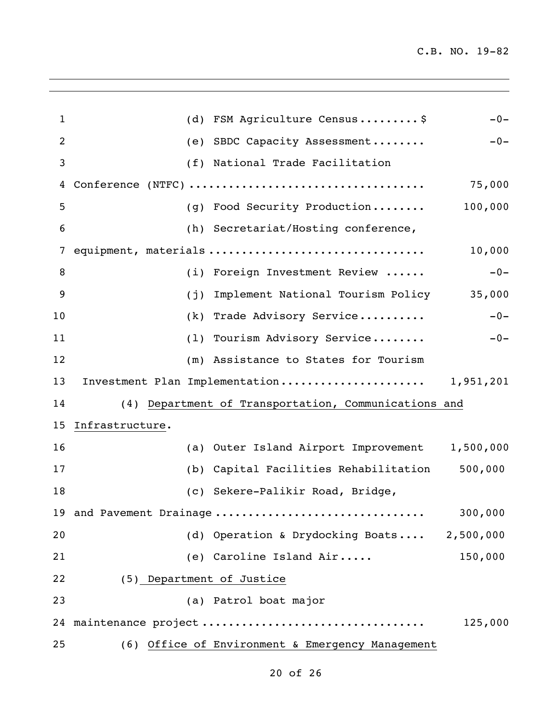$\overline{\phantom{a}}$ 

| $\mathbf{1}$ |                           | (d) FSM Agriculture Census\$                         | $-0-$   |
|--------------|---------------------------|------------------------------------------------------|---------|
| 2            |                           | (e) SBDC Capacity Assessment                         | $-0-$   |
| 3            |                           | (f) National Trade Facilitation                      |         |
| 4            |                           |                                                      | 75,000  |
| 5            |                           | (g) Food Security Production                         | 100,000 |
| 6            |                           | (h) Secretariat/Hosting conference,                  |         |
| 7            |                           | equipment, materials                                 | 10,000  |
| 8            |                           | (i) Foreign Investment Review                        | $-0-$   |
| 9            |                           | (j) Implement National Tourism Policy                | 35,000  |
| 10           |                           | (k) Trade Advisory Service                           | $-0-$   |
| 11           |                           | (1) Tourism Advisory Service                         | $-0-$   |
| 12           |                           | (m) Assistance to States for Tourism                 |         |
| 13           |                           | Investment Plan Implementation 1,951,201             |         |
| 14           |                           | (4) Department of Transportation, Communications and |         |
| 15           | Infrastructure.           |                                                      |         |
| 16           |                           | (a) Outer Island Airport Improvement 1,500,000       |         |
| 17           |                           | (b) Capital Facilities Rehabilitation                | 500,000 |
| 18           |                           | (c) Sekere-Palikir Road, Bridge,                     |         |
|              |                           | 19 and Pavement Drainage                             | 300,000 |
| 20           |                           | (d) Operation & Drydocking Boats 2,500,000           |         |
| 21           |                           | (e) Caroline Island Air                              | 150,000 |
| 22           | (5) Department of Justice |                                                      |         |
| 23           |                           | (a) Patrol boat major                                |         |
|              |                           | 24 maintenance project                               | 125,000 |
| 25           |                           | (6) Office of Environment & Emergency Management     |         |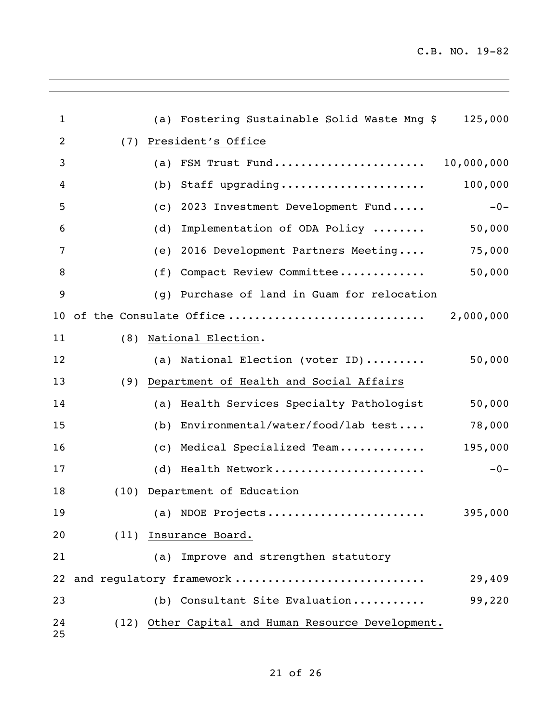$\overline{\phantom{a}}$ 

| 1        |      | (a) | Fostering Sustainable Solid Waste Mng \$           | 125,000    |
|----------|------|-----|----------------------------------------------------|------------|
| 2        | (7)  |     | President's Office                                 |            |
| 3        |      | (a) | FSM Trust Fund                                     | 10,000,000 |
| 4        |      | (b) | Staff upgrading                                    | 100,000    |
| 5        |      | (c) | 2023 Investment Development Fund                   | $-0-$      |
| 6        |      | (d) | Implementation of ODA Policy                       | 50,000     |
| 7        |      | (e) | 2016 Development Partners Meeting                  | 75,000     |
| 8        |      | (f) | Compact Review Committee                           | 50,000     |
| 9        |      | (q) | Purchase of land in Guam for relocation            |            |
| 10       |      |     | of the Consulate Office                            | 2,000,000  |
| 11       | (8)  |     | National Election.                                 |            |
| 12       |      |     | (a) National Election (voter ID)                   | 50,000     |
| 13       | (9)  |     | Department of Health and Social Affairs            |            |
| 14       |      | (a) | Health Services Specialty Pathologist              | 50,000     |
| 15       |      | (b) | Environmental/water/food/lab test                  | 78,000     |
| 16       |      | (c) | Medical Specialized Team                           | 195,000    |
| 17       |      | (d) | Health Network                                     | $-0-$      |
| 18       | (10) |     | Department of Education                            |            |
| 19       |      |     | (a) NDOE Projects                                  | 395,000    |
| 20       |      |     | (11) Insurance Board.                              |            |
| 21       |      | (a) | Improve and strengthen statutory                   |            |
| 22       |      |     | and regulatory framework                           | 29,409     |
| 23       |      |     | (b) Consultant Site Evaluation                     | 99,220     |
| 24<br>25 |      |     | (12) Other Capital and Human Resource Development. |            |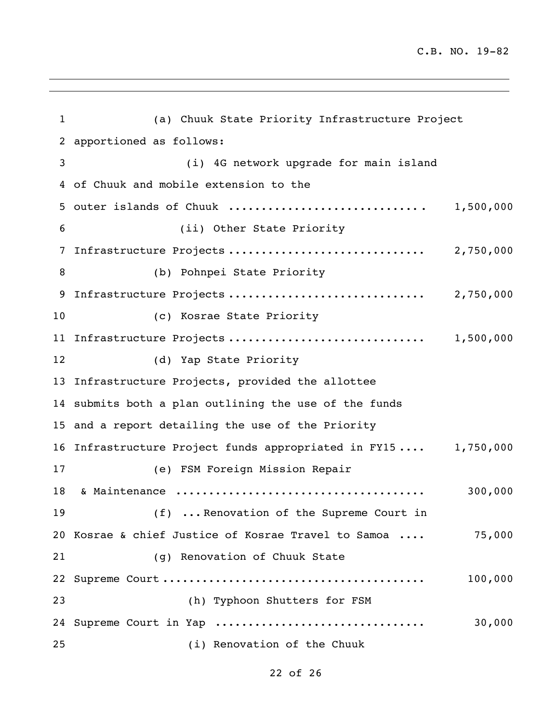$\overline{\phantom{a}}$ 

| $\mathbf 1$ | (a) Chuuk State Priority Infrastructure Project                |           |
|-------------|----------------------------------------------------------------|-----------|
| 2           | apportioned as follows:                                        |           |
| 3           | (i) 4G network upgrade for main island                         |           |
|             | 4 of Chuuk and mobile extension to the                         |           |
|             |                                                                |           |
| 6           | (ii) Other State Priority                                      |           |
| 7           | Infrastructure Projects  2,750,000                             |           |
| 8           | (b) Pohnpei State Priority                                     |           |
| 9           |                                                                |           |
| 10          | (c) Kosrae State Priority                                      |           |
| 11          | Infrastructure Projects                                        | 1,500,000 |
| 12          | (d) Yap State Priority                                         |           |
|             | 13 Infrastructure Projects, provided the allottee              |           |
|             | 14 submits both a plan outlining the use of the funds          |           |
|             | 15 and a report detailing the use of the Priority              |           |
|             | 16 Infrastructure Project funds appropriated in FY15 1,750,000 |           |
| 17          | (e) FSM Foreign Mission Repair                                 |           |
| 18          |                                                                | 300,000   |
| 19          | (f)  Renovation of the Supreme Court in                        |           |
|             | 20 Kosrae & chief Justice of Kosrae Travel to Samoa            | 75,000    |
| 21          | (g) Renovation of Chuuk State                                  |           |
|             |                                                                | 100,000   |
| 23          | (h) Typhoon Shutters for FSM                                   |           |
|             | 24 Supreme Court in Yap                                        | 30,000    |
| 25          | (i) Renovation of the Chuuk                                    |           |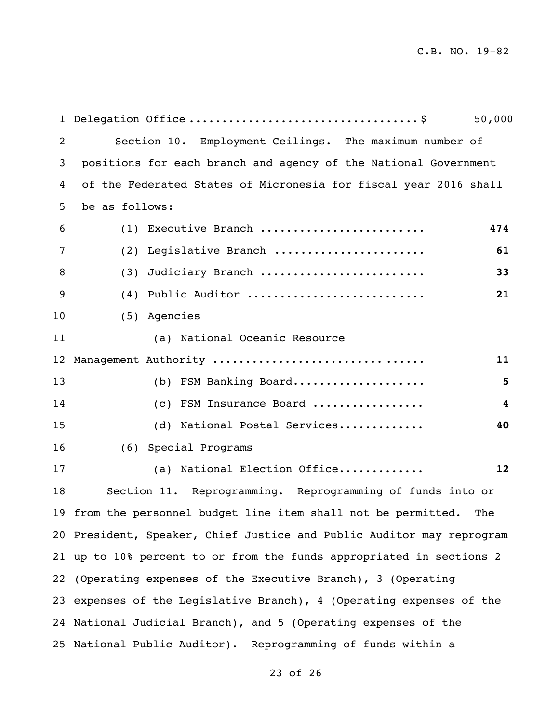$\overline{\phantom{a}}$ 

| $\mathbf{1}$      | 50,000                                                                |
|-------------------|-----------------------------------------------------------------------|
| 2                 | Section 10. Employment Ceilings. The maximum number of                |
| 3                 | positions for each branch and agency of the National Government       |
| 4                 | of the Federated States of Micronesia for fiscal year 2016 shall      |
| 5                 | be as follows:                                                        |
| 6                 | (1) Executive Branch<br>474                                           |
| 7                 | (2) Legislative Branch<br>61                                          |
| 8                 | Judiciary Branch<br>33<br>(3)                                         |
| 9                 | Public Auditor<br>21<br>(4)                                           |
| 10                | (5) Agencies                                                          |
| 11                | (a) National Oceanic Resource                                         |
| $12 \overline{ }$ | Management Authority<br>11                                            |
| 13                | (b) FSM Banking Board<br>5                                            |
| 14                | (c) FSM Insurance Board<br>4                                          |
| 15                | (d) National Postal Services<br>40                                    |
| 16                | Special Programs<br>(6)                                               |
| 17                | (a) National Election Office<br>12                                    |
| 18                | Section 11. Reprogramming. Reprogramming of funds into or             |
|                   | 19 from the personnel budget line item shall not be permitted. The    |
|                   | 20 President, Speaker, Chief Justice and Public Auditor may reprogram |
|                   | 21 up to 10% percent to or from the funds appropriated in sections 2  |
|                   | 22 (Operating expenses of the Executive Branch), 3 (Operating         |
|                   | 23 expenses of the Legislative Branch), 4 (Operating expenses of the  |
|                   | 24 National Judicial Branch), and 5 (Operating expenses of the        |
|                   | 25 National Public Auditor). Reprogramming of funds within a          |

<u> 1989 - Johann Stoff, deutscher Stoffen und der Stoffen und der Stoffen und der Stoffen und der Stoffen und der</u>

of 26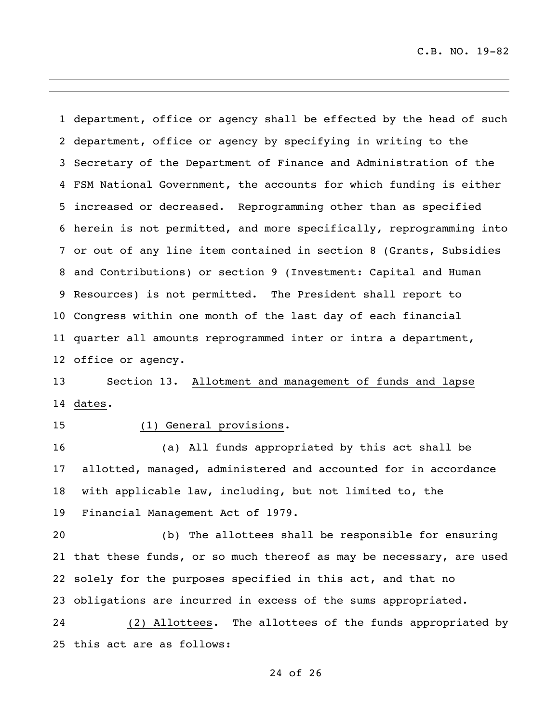department, office or agency shall be effected by the head of such department, office or agency by specifying in writing to the Secretary of the Department of Finance and Administration of the FSM National Government, the accounts for which funding is either increased or decreased. Reprogramming other than as specified herein is not permitted, and more specifically, reprogramming into or out of any line item contained in section 8 (Grants, Subsidies and Contributions) or section 9 (Investment: Capital and Human Resources) is not permitted. The President shall report to Congress within one month of the last day of each financial quarter all amounts reprogrammed inter or intra a department, office or agency.

 Section 13. Allotment and management of funds and lapse dates.

## (1) General provisions.

 (a) All funds appropriated by this act shall be allotted, managed, administered and accounted for in accordance with applicable law, including, but not limited to, the Financial Management Act of 1979.

 (b) The allottees shall be responsible for ensuring that these funds, or so much thereof as may be necessary, are used solely for the purposes specified in this act, and that no obligations are incurred in excess of the sums appropriated.

 (2) Allottees. The allottees of the funds appropriated by this act are as follows: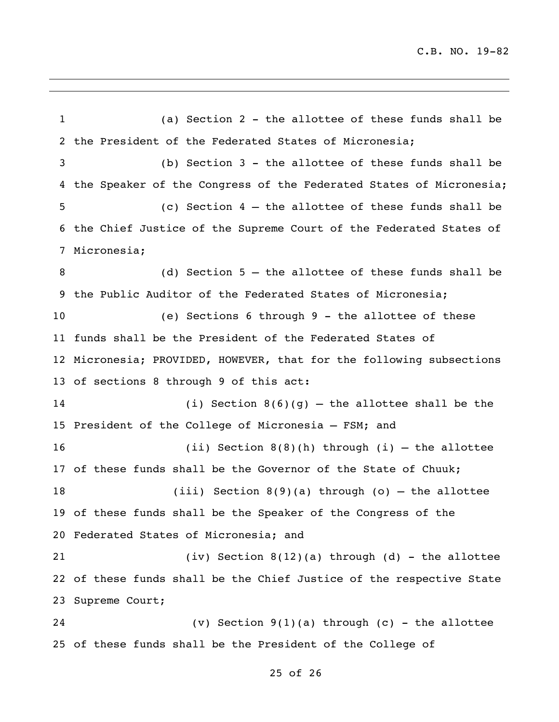(a) Section 2 - the allottee of these funds shall be the President of the Federated States of Micronesia; (b) Section 3 - the allottee of these funds shall be 4 the Speaker of the Congress of the Federated States of Micronesia; (c) Section 4 – the allottee of these funds shall be the Chief Justice of the Supreme Court of the Federated States of Micronesia; (d) Section 5 – the allottee of these funds shall be the Public Auditor of the Federated States of Micronesia; (e) Sections 6 through 9 - the allottee of these funds shall be the President of the Federated States of Micronesia; PROVIDED, HOWEVER, that for the following subsections of sections 8 through 9 of this act: (i) Section 8(6)(g) – the allottee shall be the President of the College of Micronesia – FSM; and (ii) Section 8(8)(h) through (i) – the allottee of these funds shall be the Governor of the State of Chuuk; (iii) Section 8(9)(a) through (o) – the allottee of these funds shall be the Speaker of the Congress of the Federated States of Micronesia; and (iv) Section 8(12)(a) through (d) - the allottee of these funds shall be the Chief Justice of the respective State Supreme Court; (v) Section 9(1)(a) through (c) - the allottee of these funds shall be the President of the College of

#### of 26